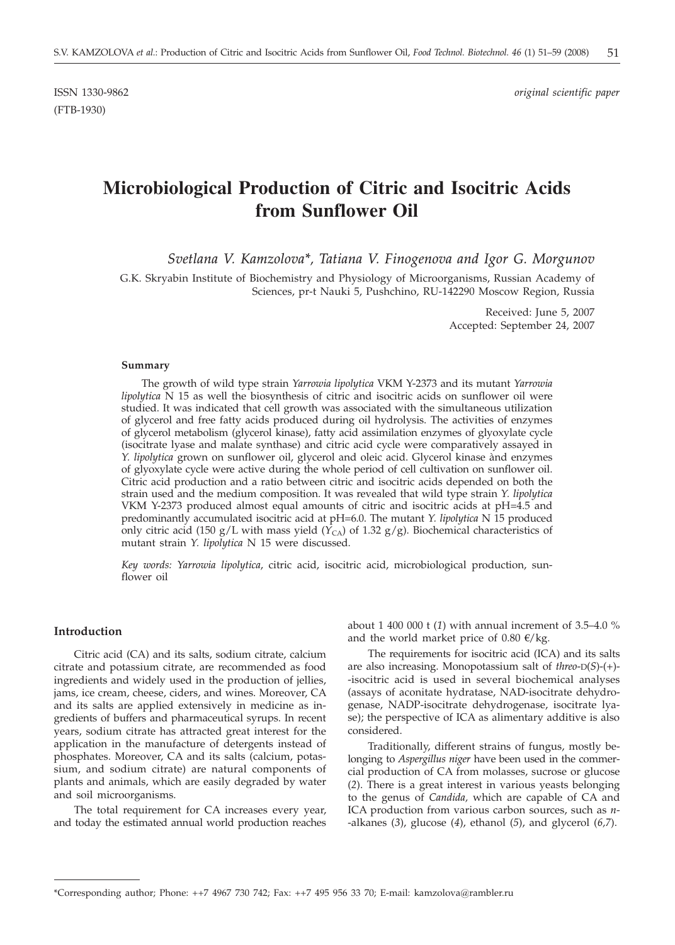(FTB-1930)

ISSN 1330-9862 *original scientific paper*

# **Microbiological Production of Citric and Isocitric Acids from Sunflower Oil**

*Svetlana V. Kamzolova\*, Tatiana V. Finogenova and Igor G. Morgunov*

G.K. Skryabin Institute of Biochemistry and Physiology of Microorganisms, Russian Academy of Sciences, pr-t Nauki 5, Pushchino, RU-142290 Moscow Region, Russia

> Received: June 5, 2007 Accepted: September 24, 2007

#### **Summary**

The growth of wild type strain *Yarrowia lipolytica* VKM Y-2373 and its mutant *Yarrowia lipolytica* N 15 as well the biosynthesis of citric and isocitric acids on sunflower oil were studied. It was indicated that cell growth was associated with the simultaneous utilization of glycerol and free fatty acids produced during oil hydrolysis. The activities of enzymes of glycerol metabolism (glycerol kinase), fatty acid assimilation enzymes of glyoxylate cycle (isocitrate lyase and malate synthase) and citric acid cycle were comparatively assayed in *Y. lipolytica* grown on sunflower oil, glycerol and oleic acid. Glycerol kinase ànd enzymes of glyoxylate cycle were active during the whole period of cell cultivation on sunflower oil. Citric acid production and a ratio between citric and isocitric acids depended on both the strain used and the medium composition. It was revealed that wild type strain *Y. lipolytica* VKM Y-2373 produced almost equal amounts of citric and isocitric acids at pH=4.5 and predominantly accumulated isocitric acid at pH=6.0. The mutant *Y. lipolytica* N 15 produced only citric acid (150 g/L with mass yield ( $Y_{CA}$ ) of 1.32 g/g). Biochemical characteristics of mutant strain *Y. lipolytica* N 15 were discussed.

*Key words: Yarrowia lipolytica*, citric acid, isocitric acid, microbiological production, sunflower oil

#### **Introduction**

Citric acid (CA) and its salts, sodium citrate, calcium citrate and potassium citrate, are recommended as food ingredients and widely used in the production of jellies, jams, ice cream, cheese, ciders, and wines. Moreover, CA and its salts are applied extensively in medicine as ingredients of buffers and pharmaceutical syrups. In recent years, sodium citrate has attracted great interest for the application in the manufacture of detergents instead of phosphates. Moreover, CA and its salts (calcium, potassium, and sodium citrate) are natural components of plants and animals, which are easily degraded by water and soil microorganisms.

The total requirement for CA increases every year, and today the estimated annual world production reaches about 1 400 000 t (*1*) with annual increment of 3.5–4.0 % and the world market price of 0.80  $\epsilon$ /kg.

The requirements for isocitric acid (ICA) and its salts are also increasing. Monopotassium salt of *threo*-D(*S*)-(+)- -isocitric acid is used in several biochemical analyses (assays of aconitate hydratase, NAD-isocitrate dehydrogenase, NADP-isocitrate dehydrogenase, isocitrate lyase); the perspective of ICA as alimentary additive is also considered.

Traditionally, different strains of fungus, mostly belonging to *Aspergillus niger* have been used in the commercial production of CA from molasses, sucrose or glucose (*2*). There is a great interest in various yeasts belonging to the genus of *Candida,* which are capable of CA and ICA production from various carbon sources, such as *n*- -alkanes (*3*), glucose (*4*), ethanol (*5*), and glycerol (*6,7*).

<sup>\*</sup>Corresponding author; Phone: ++7 4967 730 742; Fax: ++7 495 956 33 70; E-mail: kamzolova*@*rambler.ru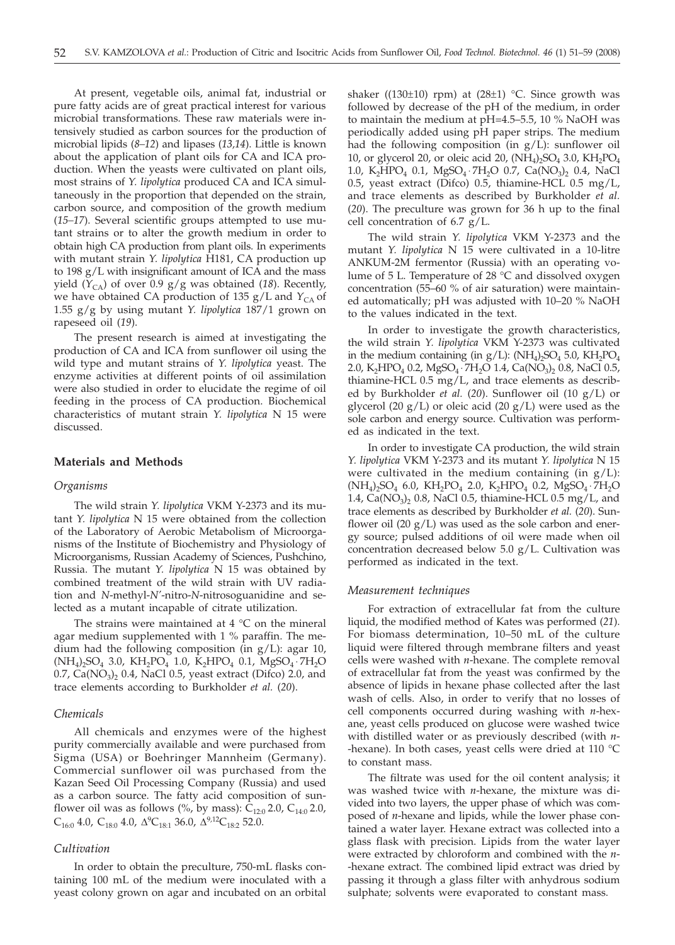At present, vegetable oils, animal fat, industrial or pure fatty acids are of great practical interest for various microbial transformations. These raw materials were intensively studied as carbon sources for the production of microbial lipids (*8–12*) and lipases (*13,14*). Little is known about the application of plant oils for CA and ICA production. When the yeasts were cultivated on plant oils, most strains of *Y. lipolytica* produced CA and ICA simultaneously in the proportion that depended on the strain, carbon source, and composition of the growth medium (*15–17*). Several scientific groups attempted to use mutant strains or to alter the growth medium in order to obtain high CA production from plant oils. In experiments with mutant strain *Y. lipolytica* H181, CA production up to 198 g/L with insignificant amount of ICA and the mass yield  $(Y_{CA})$  of over 0.9 g/g was obtained (18). Recently, we have obtained CA production of 135  $g/L$  and  $Y_{CA}$  of 1.55 g/g by using mutant *Y. lipolytica* 187/1 grown on rapeseed oil (*19*).

The present research is aimed at investigating the production of CA and ICA from sunflower oil using the wild type and mutant strains of *Y. lipolytica* yeast. The enzyme activities at different points of oil assimilation were also studied in order to elucidate the regime of oil feeding in the process of CA production. Biochemical characteristics of mutant strain *Y. lipolytica* N 15 were discussed.

#### **Materials and Methods**

#### *Organisms*

The wild strain *Y. lipolytica* VKM Y-2373 and its mutant *Y. lipolytica* N 15 were obtained from the collection of the Laboratory of Aerobic Metabolism of Microorganisms of the Institute of Biochemistry and Physiology of Microorganisms, Russian Academy of Sciences, Pushchino, Russia. The mutant *Y. lipolytica* N 15 was obtained by combined treatment of the wild strain with UV radiation and *N*-methyl-*N'*-nitro-*N*-nitrosoguanidine and selected as a mutant incapable of citrate utilization.

The strains were maintained at  $4 °C$  on the mineral agar medium supplemented with 1 % paraffin. The medium had the following composition (in g/L): agar 10,  $(NH_4)_2SO_4$  3.0,  $KH_2PO_4$  1.0,  $K_2HPO_4$  0.1,  $MgSO_4 \cdot 7H_2O$  $0.7$ , Ca(NO<sub>3</sub>)<sub>2</sub> 0.4, NaCl 0.5, yeast extract (Difco) 2.0, and trace elements according to Burkholder *et al.* (*20*).

#### *Chemicals*

All chemicals and enzymes were of the highest purity commercially available and were purchased from Sigma (USA) or Boehringer Mannheim (Germany). Commercial sunflower oil was purchased from the Kazan Seed Oil Processing Company (Russia) and used as a carbon source. The fatty acid composition of sunflower oil was as follows (%, by mass):  $C_{12:0}$  2.0,  $C_{14:0}$  2.0,  $C_{16:0}$  4.0,  $C_{18:0}$  4.0,  $\Delta^{9}C_{18:1}$  36.0,  $\Delta^{9,12}C_{18:2}$  52.0.

#### *Cultivation*

In order to obtain the preculture, 750-mL flasks containing 100 mL of the medium were inoculated with a yeast colony grown on agar and incubated on an orbital

shaker ((130 $\pm$ 10) rpm) at (28 $\pm$ 1) °C. Since growth was followed by decrease of the pH of the medium, in order to maintain the medium at pH=4.5-5.5, 10 % NaOH was periodically added using pH paper strips. The medium had the following composition (in  $g/L$ ): sunflower oil 10, or glycerol 20, or oleic acid 20,  $(NH<sub>4</sub>)<sub>2</sub>SO<sub>4</sub>$  3.0,  $KH<sub>2</sub>PO<sub>4</sub>$ 1.0, K<sub>2</sub>HPO<sub>4</sub> 0.1, MgSO<sub>4</sub> ⋅ 7H<sub>2</sub>O 0.7, Ca(NO<sub>3</sub>)<sub>2</sub> 0.4, NaCl 0.5, yeast extract (Difco) 0.5, thiamine-HCL 0.5 mg/L, and trace elements as described by Burkholder *et al.* (*20*). The preculture was grown for 36 h up to the final cell concentration of 6.7 g/L.

The wild strain *Y. lipolytica* VKM Y-2373 and the mutant *Y. lipolytica* N 15 were cultivated in a 10-litre ANKUM-2M fermentor (Russia) with an operating volume of 5 L. Temperature of 28 °C and dissolved oxygen concentration (55–60 % of air saturation) were maintained automatically; pH was adjusted with 10–20 % NaOH to the values indicated in the text.

In order to investigate the growth characteristics, the wild strain *Y. lipolytica* VKM Y-2373 was cultivated in the medium containing (in  $g/L$ ): (NH<sub>4</sub>)<sub>2</sub>SO<sub>4</sub> 5.0, KH<sub>2</sub>PO<sub>4</sub> 2.0, K<sub>2</sub>HPO<sub>4</sub> 0.2, MgSO<sub>4</sub> ⋅ 7H<sub>2</sub>O 1.4, Ca(NO<sub>3</sub>)<sub>2</sub> 0.8, NaCl 0.5, thiamine-HCL 0.5 mg/L, and trace elements as described by Burkholder *et al.* (*20*). Sunflower oil (10 g/L) or glycerol (20  $g/L$ ) or oleic acid (20  $g/L$ ) were used as the sole carbon and energy source. Cultivation was performed as indicated in the text.

In order to investigate CA production, the wild strain *Y. lipolytica* VKM Y-2373 and its mutant *Y. lipolytica* N 15 were cultivated in the medium containing (in  $g/L$ ): (NH4)2SO4 6.0, KH2PO4 2.0, K2HPO4 0.2, MgSO4 ⋅ 7H2O 1.4,  $Ca(NO<sub>3</sub>)<sub>2</sub>$  0.8, NaCl 0.5, thiamine-HCL 0.5 mg/L, and trace elements as described by Burkholder *et al.* (*20*). Sunflower oil  $(20 g/L)$  was used as the sole carbon and energy source; pulsed additions of oil were made when oil concentration decreased below 5.0 g/L. Cultivation was performed as indicated in the text.

#### *Measurement techniques*

For extraction of extracellular fat from the culture liquid, the modified method of Kates was performed (*21*). For biomass determination, 10–50 mL of the culture liquid were filtered through membrane filters and yeast cells were washed with *n*-hexane. The complete removal of extracellular fat from the yeast was confirmed by the absence of lipids in hexane phase collected after the last wash of cells. Also, in order to verify that no losses of cell components occurred during washing with *n*-hexane, yeast cells produced on glucose were washed twice with distilled water or as previously described (with *n*- -hexane). In both cases, yeast cells were dried at 110 °C to constant mass.

The filtrate was used for the oil content analysis; it was washed twice with *n*-hexane, the mixture was divided into two layers, the upper phase of which was composed of *n*-hexane and lipids, while the lower phase contained a water layer. Hexane extract was collected into a glass flask with precision. Lipids from the water layer were extracted by chloroform and combined with the *n*- -hexane extract. The combined lipid extract was dried by passing it through a glass filter with anhydrous sodium sulphate; solvents were evaporated to constant mass.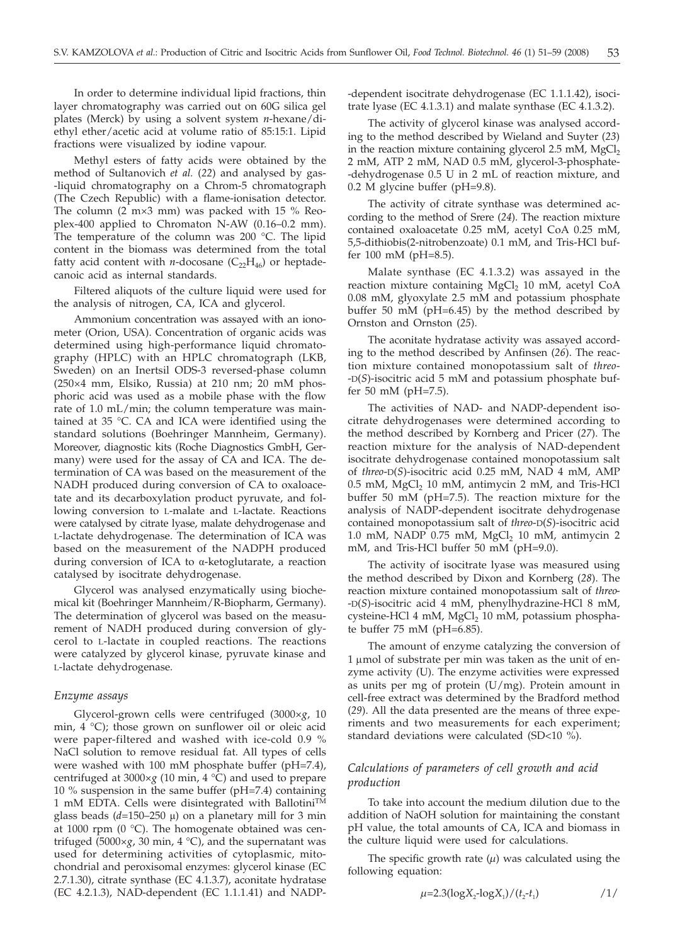In order to determine individual lipid fractions, thin layer chromatography was carried out on 60G silica gel plates (Merck) by using a solvent system *n*-hexane/diethyl ether/acetic acid at volume ratio of 85:15:1. Lipid fractions were visualized by iodine vapour.

Methyl esters of fatty acids were obtained by the method of Sultanovich *et al.* (*22*) and analysed by gas- -liquid chromatography on a Chrom-5 chromatograph (The Czech Republic) with a flame-ionisation detector. The column (2 m×3 mm) was packed with 15 % Reoplex-400 applied to Chromaton N-AW (0.16–0.2 mm). The temperature of the column was 200 °C. The lipid content in the biomass was determined from the total fatty acid content with *n*-docosane  $(C_{22}H_{46})$  or heptadecanoic acid as internal standards.

Filtered aliquots of the culture liquid were used for the analysis of nitrogen, CA, ICA and glycerol.

Ammonium concentration was assayed with an ionometer (Orion, USA). Concentration of organic acids was determined using high-performance liquid chromatography (HPLC) with an HPLC chromatograph (LKB, Sweden) on an Inertsil ODS-3 reversed-phase column (250×4 mm, Elsiko, Russia) at 210 nm; 20 mM phosphoric acid was used as a mobile phase with the flow rate of 1.0 mL/min; the column temperature was maintained at 35 °C. CA and ICA were identified using the standard solutions (Boehringer Mannheim, Germany). Moreover, diagnostic kits (Roche Diagnostics GmbH, Germany) were used for the assay of CA and ICA. The determination of CA was based on the measurement of the NADH produced during conversion of CA to oxaloacetate and its decarboxylation product pyruvate, and following conversion to L-malate and L-lactate. Reactions were catalysed by citrate lyase, malate dehydrogenase and L-lactate dehydrogenase. The determination of ICA was based on the measurement of the NADPH produced during conversion of ICA to  $\alpha$ -ketoglutarate, a reaction catalysed by isocitrate dehydrogenase.

Glycerol was analysed enzymatically using biochemical kit (Boehringer Mannheim/R-Biopharm, Germany). The determination of glycerol was based on the measurement of NADH produced during conversion of glycerol to L-lactate in coupled reactions. The reactions were catalyzed by glycerol kinase, pyruvate kinase and L-lactate dehydrogenase.

#### *Enzyme assays*

Glycerol-grown cells were centrifuged (3000×*g*, 10 min, 4 °C); those grown on sunflower oil or oleic acid were paper-filtered and washed with ice-cold 0.9 % NaCl solution to remove residual fat. All types of cells were washed with 100 mM phosphate buffer (pH=7.4), centrifuged at 3000×*g* (10 min, 4 °C) and used to prepare 10 % suspension in the same buffer (pH=7.4) containing 1 mM EDTA. Cells were disintegrated with Ballotini<sup>TM</sup> glass beads  $(d=150-250 \mu)$  on a planetary mill for 3 min at 1000 rpm (0 °C). The homogenate obtained was centrifuged (5000×*g*, 30 min, 4 °C), and the supernatant was used for determining activities of cytoplasmic, mitochondrial and peroxisomal enzymes: glycerol kinase (EC 2.7.1.30), citrate synthase (EC 4.1.3.7), aconitate hydratase (EC 4.2.1.3), NAD-dependent (EC 1.1.1.41) and NADP-

-dependent isocitrate dehydrogenase (EC 1.1.1.42), isocitrate lyase (EC 4.1.3.1) and malate synthase (EC 4.1.3.2).

The activity of glycerol kinase was analysed according to the method described by Wieland and Suyter (*23*) in the reaction mixture containing glycerol  $2.5$  mM, MgCl<sub>2</sub> 2 mM, ATP 2 mM, NAD 0.5 mM, glycerol-3-phosphate- -dehydrogenase 0.5 U in 2 mL of reaction mixture, and 0.2 M glycine buffer (pH=9.8).

The activity of citrate synthase was determined according to the method of Srere (*24*). The reaction mixture contained oxaloacetate 0.25 mM, acetyl CoA 0.25 mM, 5,5-dithiobis(2-nitrobenzoate) 0.1 mM, and Tris-HCl buffer 100 mM (pH=8.5).

Malate synthase (EC 4.1.3.2) was assayed in the reaction mixture containing  $MgCl<sub>2</sub>$  10 mM, acetyl CoA 0.08 mM, glyoxylate 2.5 mM and potassium phosphate buffer 50 mM (pH=6.45) by the method described by Ornston and Ornston (*25*).

The aconitate hydratase activity was assayed according to the method described by Anfinsen (*26*). The reaction mixture contained monopotassium salt of *threo*- -D(*S*)-isocitric acid 5 mM and potassium phosphate buffer 50 mM (pH=7.5).

The activities of NAD- and NADP-dependent isocitrate dehydrogenases were determined according to the method described by Kornberg and Pricer (*27*). The reaction mixture for the analysis of NAD-dependent isocitrate dehydrogenase contained monopotassium salt of *threo*-D(*S*)-isocitric acid 0.25 mM, NAD 4 mM, AMP  $0.5$  mM, MgCl<sub>2</sub> 10 mM, antimycin 2 mM, and Tris-HCl buffer 50 mM (pH=7.5). The reaction mixture for the analysis of NADP-dependent isocitrate dehydrogenase contained monopotassium salt of *threo*-D(*S*)-isocitric acid 1.0 mM, NADP 0.75 mM,  $MgCl<sub>2</sub>$  10 mM, antimycin 2 mM, and Tris-HCl buffer 50 mM (pH=9.0).

The activity of isocitrate lyase was measured using the method described by Dixon and Kornberg (*28*). The reaction mixture contained monopotassium salt of *threo*- -D(*S*)-isocitric acid 4 mM, phenylhydrazine-HCl 8 mM, cysteine-HCl 4 mM, MgCl<sub>2</sub> 10 mM, potassium phosphate buffer 75 mM (pH=6.85).

The amount of enzyme catalyzing the conversion of  $1 \mu$ mol of substrate per min was taken as the unit of enzyme activity (U). The enzyme activities were expressed as units per mg of protein (U/mg). Protein amount in cell-free extract was determined by the Bradford method (*29*). All the data presented are the means of three experiments and two measurements for each experiment; standard deviations were calculated (SD<10 %).

# *Calculations of parameters of cell growth and acid production*

To take into account the medium dilution due to the addition of NaOH solution for maintaining the constant pH value, the total amounts of CA, ICA and biomass in the culture liquid were used for calculations.

The specific growth rate  $(\mu)$  was calculated using the following equation:

$$
\mu=2.3(\log X_2-\log X_1)/(t_2-t_1) \tag{1/}
$$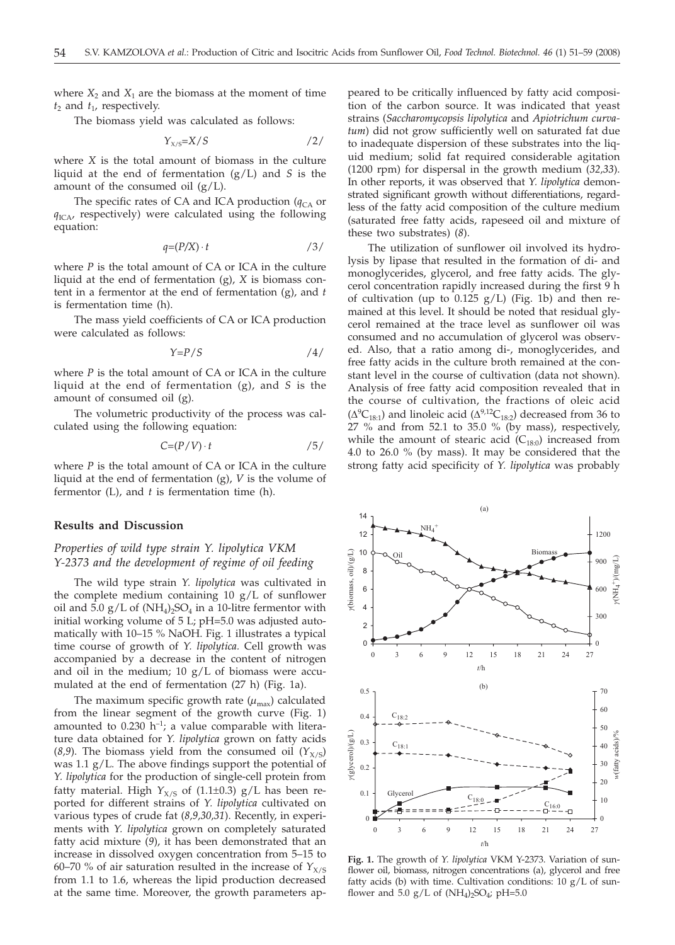where  $X_2$  and  $X_1$  are the biomass at the moment of time  $t_2$  and  $t_1$ , respectively.

The biomass yield was calculated as follows:

$$
Y_{X/S} = X/S \tag{2/}
$$

where *X* is the total amount of biomass in the culture liquid at the end of fermentation (g/L) and *S* is the amount of the consumed oil  $(g/L)$ .

The specific rates of CA and ICA production ( $q<sub>CA</sub>$  or *q*ICA, respectively) were calculated using the following equation:

$$
q = (P/X) \cdot t \tag{3/}
$$

where *P* is the total amount of CA or ICA in the culture liquid at the end of fermentation (g), *X* is biomass content in a fermentor at the end of fermentation (g), and *t* is fermentation time (h).

The mass yield coefficients of CA or ICA production were calculated as follows:

$$
Y = P/S \tag{4/}
$$

where *P* is the total amount of CA or ICA in the culture liquid at the end of fermentation (g), and *S* is the amount of consumed oil (g).

The volumetric productivity of the process was calculated using the following equation:

$$
C = (P/V) \cdot t \tag{5/}
$$

where *P* is the total amount of CA or ICA in the culture liquid at the end of fermentation (g), *V* is the volume of fermentor (L), and *t* is fermentation time (h).

#### **Results and Discussion**

# *Properties of wild type strain Y. lipolytica VKM Y-2373 and the development of regime of oil feeding*

The wild type strain *Y. lipolytica* was cultivated in the complete medium containing 10  $g/L$  of sunflower oil and  $\bar{5.0}$  g/L of (NH<sub>4</sub>)<sub>2</sub>SO<sub>4</sub> in a 10-litre fermentor with initial working volume of 5 L; pH=5.0 was adjusted automatically with 10–15 % NaOH. Fig. 1 illustrates a typical time course of growth of *Y. lipolytica.* Cell growth was accompanied by a decrease in the content of nitrogen and oil in the medium;  $10 g/L$  of biomass were accumulated at the end of fermentation (27 h) (Fig. 1a).

The maximum specific growth rate  $(\mu_{\text{max}})$  calculated from the linear segment of the growth curve (Fig. 1) amounted to  $0.230$  h<sup>-1</sup>; a value comparable with literature data obtained for *Y. lipolytica* grown on fatty acids (*8,9*). The biomass yield from the consumed oil  $(Y_{X/S})$ was 1.1 g/L. The above findings support the potential of *Y. lipolytica* for the production of single-cell protein from fatty material. High  $Y_{X/S}$  of (1.1±0.3)  $g/L$  has been reported for different strains of *Y. lipolytica* cultivated on various types of crude fat (*8,9,30,31*). Recently, in experiments with *Y. lipolytica* grown on completely saturated fatty acid mixture (*9*), it has been demonstrated that an increase in dissolved oxygen concentration from 5–15 to 60–70 % of air saturation resulted in the increase of  $Y_{X/S}$ from 1.1 to 1.6, whereas the lipid production decreased at the same time. Moreover, the growth parameters ap-

peared to be critically influenced by fatty acid composition of the carbon source. It was indicated that yeast strains (*Saccharomycopsis lipolytica* and *Apiotrichum curvatum*) did not grow sufficiently well on saturated fat due to inadequate dispersion of these substrates into the liquid medium; solid fat required considerable agitation (1200 rpm) for dispersal in the growth medium (*32,33*). In other reports, it was observed that *Y. lipolytica* demonstrated significant growth without differentiations, regardless of the fatty acid composition of the culture medium (saturated free fatty acids, rapeseed oil and mixture of these two substrates) (*8*).

The utilization of sunflower oil involved its hydrolysis by lipase that resulted in the formation of di- and monoglycerides, glycerol, and free fatty acids. The glycerol concentration rapidly increased during the first 9 h of cultivation (up to  $0.125$  g/L) (Fig. 1b) and then remained at this level. It should be noted that residual glycerol remained at the trace level as sunflower oil was consumed and no accumulation of glycerol was observed. Also, that a ratio among di-, monoglycerides, and free fatty acids in the culture broth remained at the constant level in the course of cultivation (data not shown). Analysis of free fatty acid composition revealed that in the course of cultivation, the fractions of oleic acid  $(\Delta^{9}C_{18:1})$  and linoleic acid  $(\Delta^{9,12}C_{18:2})$  decreased from 36 to 27 % and from 52.1 to 35.0 % (by mass), respectively, while the amount of stearic acid  $(C_{18:0})$  increased from 4.0 to 26.0 % (by mass). It may be considered that the strong fatty acid specificity of *Y. lipolytica* was probably



**Fig. 1.** The growth of *Y. lipolytica* VKM Y-2373. Variation of sunflower oil, biomass, nitrogen concentrations (a), glycerol and free fatty acids (b) with time. Cultivation conditions:  $10 g/L$  of sunflower and 5.0  $g/L$  of  $(NH_4)_2SO_4$ ; pH=5.0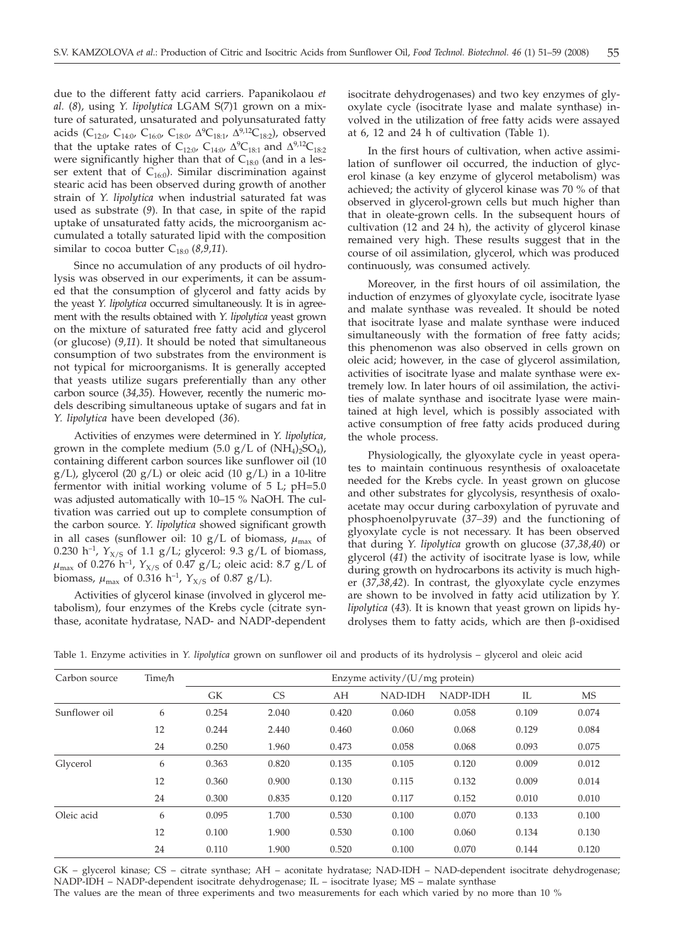due to the different fatty acid carriers. Papanikolaou *et al.* (*8*), using *Y. lipolytica* LGAM S(7)1 grown on a mixture of saturated, unsaturated and polyunsaturated fatty acids (C<sub>12:0</sub>, C<sub>14:0</sub>, C<sub>16:0</sub>, C<sub>18:0</sub>,  $\Delta^{9}C_{18:1}$ ,  $\Delta^{9,12}C_{18:2}$ ), observed that the uptake rates of C<sub>12:0</sub>, C<sub>14:0</sub>,  $\Delta^9C_{18:1}$  and  $\Delta^{9,12}C_{18:2}$ were significantly higher than that of  $C_{18:0}$  (and in a lesser extent that of  $C_{16:0}$ ). Similar discrimination against stearic acid has been observed during growth of another strain of *Y. lipolytica* when industrial saturated fat was used as substrate (*9*). In that case, in spite of the rapid uptake of unsaturated fatty acids, the microorganism accumulated a totally saturated lipid with the composition similar to cocoa butter  $C_{18:0}$  (8,9,11).

Since no accumulation of any products of oil hydrolysis was observed in our experiments, it can be assumed that the consumption of glycerol and fatty acids by the yeast *Y. lipolytica* occurred simultaneously. It is in agreement with the results obtained with *Y. lipolytica* yeast grown on the mixture of saturated free fatty acid and glycerol (or glucose) (*9,11*). It should be noted that simultaneous consumption of two substrates from the environment is not typical for microorganisms. It is generally accepted that yeasts utilize sugars preferentially than any other carbon source (*34,35*). However, recently the numeric models describing simultaneous uptake of sugars and fat in *Y. lipolytica* have been developed (*36*).

Activities of enzymes were determined in *Y. lipolytica,* grown in the complete medium  $(5.0 \text{ g/L of } (NH_4)_2SO_4)$ , containing different carbon sources like sunflower oil (10  $g/L$ ), glycerol (20  $g/L$ ) or oleic acid (10  $g/L$ ) in a 10-litre fermentor with initial working volume of 5 L; pH=5.0 was adjusted automatically with 10–15 % NaOH. The cultivation was carried out up to complete consumption of the carbon source. *Y. lipolytica* showed significant growth in all cases (sunflower oil: 10 g/L of biomass,  $\mu_{\text{max}}$  of 0.230 h<sup>-1</sup>,  $Y_{X/S}$  of 1.1 g/L; glycerol: 9.3 g/L of biomass,  $\mu_{\text{max}}$  of 0.276 h<sup>-1</sup>,  $Y_{X/S}$  of 0.47 g/L; oleic acid: 8.7 g/L of biomass,  $\mu_{\text{max}}$  of 0.316 h<sup>-1</sup>,  $Y_{X/S}$  of 0.87 g/L).

Activities of glycerol kinase (involved in glycerol metabolism), four enzymes of the Krebs cycle (citrate synthase, aconitate hydratase, NAD- and NADP-dependent isocitrate dehydrogenases) and two key enzymes of glyoxylate cycle (isocitrate lyase and malate synthase) involved in the utilization of free fatty acids were assayed at 6, 12 and 24 h of cultivation (Table 1).

In the first hours of cultivation, when active assimilation of sunflower oil occurred, the induction of glycerol kinase (a key enzyme of glycerol metabolism) was achieved; the activity of glycerol kinase was 70 % of that observed in glycerol-grown cells but much higher than that in oleate-grown cells. In the subsequent hours of cultivation (12 and 24 h), the activity of glycerol kinase remained very high. These results suggest that in the course of oil assimilation, glycerol, which was produced continuously, was consumed actively.

Moreover, in the first hours of oil assimilation, the induction of enzymes of glyoxylate cycle, isocitrate lyase and malate synthase was revealed. It should be noted that isocitrate lyase and malate synthase were induced simultaneously with the formation of free fatty acids; this phenomenon was also observed in cells grown on oleic acid; however, in the case of glycerol assimilation, activities of isocitrate lyase and malate synthase were extremely low. In later hours of oil assimilation, the activities of malate synthase and isocitrate lyase were maintained at high level, which is possibly associated with active consumption of free fatty acids produced during the whole process.

Physiologically, the glyoxylate cycle in yeast operates to maintain continuous resynthesis of oxaloacetate needed for the Krebs cycle. In yeast grown on glucose and other substrates for glycolysis, resynthesis of oxaloacetate may occur during carboxylation of pyruvate and phosphoenolpyruvate (*37–39*) and the functioning of glyoxylate cycle is not necessary. It has been observed that during *Y. lipolytica* growth on glucose (*37,38,40*) or glycerol (*41*) the activity of isocitrate lyase is low, while during growth on hydrocarbons its activity is much higher (*37,38,42*). In contrast, the glyoxylate cycle enzymes are shown to be involved in fatty acid utilization by *Y. lipolytica* (*43*)*.* It is known that yeast grown on lipids hydrolyses them to fatty acids, which are then  $\beta$ -oxidised

| Table 1. Enzyme activities in Y. lipolytica grown on sunflower oil and products of its hydrolysis - glycerol and oleic acid |  |  |  |
|-----------------------------------------------------------------------------------------------------------------------------|--|--|--|
|-----------------------------------------------------------------------------------------------------------------------------|--|--|--|

| Carbon source | Time/h | Enzyme activity/(U/mg protein) |           |       |         |          |       |           |  |  |
|---------------|--------|--------------------------------|-----------|-------|---------|----------|-------|-----------|--|--|
|               |        | GК                             | <b>CS</b> | AH    | NAD-IDH | NADP-IDH | IL    | <b>MS</b> |  |  |
| Sunflower oil | 6      | 0.254                          | 2.040     | 0.420 | 0.060   | 0.058    | 0.109 | 0.074     |  |  |
|               | 12     | 0.244                          | 2.440     | 0.460 | 0.060   | 0.068    | 0.129 | 0.084     |  |  |
|               | 24     | 0.250                          | 1.960     | 0.473 | 0.058   | 0.068    | 0.093 | 0.075     |  |  |
| Glycerol      | 6      | 0.363                          | 0.820     | 0.135 | 0.105   | 0.120    | 0.009 | 0.012     |  |  |
|               | 12     | 0.360                          | 0.900     | 0.130 | 0.115   | 0.132    | 0.009 | 0.014     |  |  |
|               | 24     | 0.300                          | 0.835     | 0.120 | 0.117   | 0.152    | 0.010 | 0.010     |  |  |
| Oleic acid    | 6      | 0.095                          | 1.700     | 0.530 | 0.100   | 0.070    | 0.133 | 0.100     |  |  |
|               | 12     | 0.100                          | 1.900     | 0.530 | 0.100   | 0.060    | 0.134 | 0.130     |  |  |
|               | 24     | 0.110                          | 1.900     | 0.520 | 0.100   | 0.070    | 0.144 | 0.120     |  |  |

GK – glycerol kinase; CS – citrate synthase; AH – aconitate hydratase; NAD-IDH – NAD-dependent isocitrate dehydrogenase; NADP-IDH – NADP-dependent isocitrate dehydrogenase; IL – isocitrate lyase; MS – malate synthase

The values are the mean of three experiments and two measurements for each which varied by no more than 10 %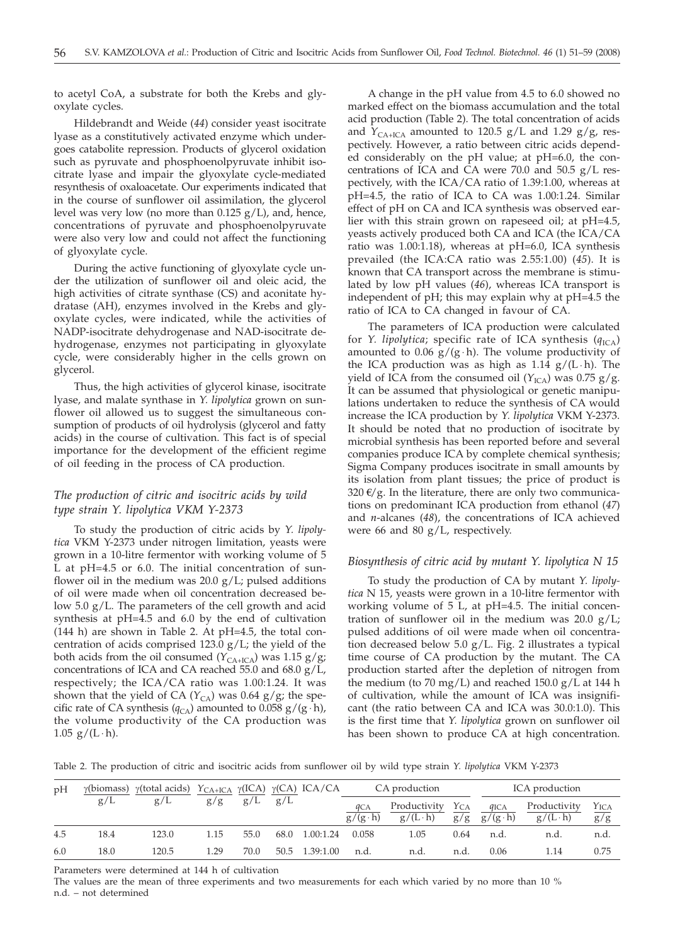to acetyl CoA, a substrate for both the Krebs and glyoxylate cycles.

Hildebrandt and Weide (*44*) consider yeast isocitrate lyase as a constitutively activated enzyme which undergoes catabolite repression. Products of glycerol oxidation such as pyruvate and phosphoenolpyruvate inhibit isocitrate lyase and impair the glyoxylate cycle-mediated resynthesis of oxaloacetate. Our experiments indicated that in the course of sunflower oil assimilation, the glycerol level was very low (no more than 0.125 g/L), and, hence, concentrations of pyruvate and phosphoenolpyruvate were also very low and could not affect the functioning of glyoxylate cycle.

During the active functioning of glyoxylate cycle under the utilization of sunflower oil and oleic acid, the high activities of citrate synthase (CS) and aconitate hydratase (AH), enzymes involved in the Krebs and glyoxylate cycles, were indicated, while the activities of NADP-isocitrate dehydrogenase and NAD-isocitrate dehydrogenase, enzymes not participating in glyoxylate cycle, were considerably higher in the cells grown on glycerol.

Thus, the high activities of glycerol kinase, isocitrate lyase, and malate synthase in *Y. lipolytica* grown on sunflower oil allowed us to suggest the simultaneous consumption of products of oil hydrolysis (glycerol and fatty acids) in the course of cultivation. This fact is of special importance for the development of the efficient regime of oil feeding in the process of CA production.

# *The production of citric and isocitric acids by wild type strain Y. lipolytica VKM Y-2373*

To study the production of citric acids by *Y. lipolytica* VKM Y-2373 under nitrogen limitation, yeasts were grown in a 10-litre fermentor with working volume of 5 L at pH=4.5 or 6.0. The initial concentration of sunflower oil in the medium was  $20.0 \text{ g/L}$ ; pulsed additions of oil were made when oil concentration decreased below 5.0 g/L. The parameters of the cell growth and acid synthesis at pH=4.5 and 6.0 by the end of cultivation (144 h) are shown in Table 2. At pH=4.5, the total concentration of acids comprised 123.0  $g/L$ ; the yield of the both acids from the oil consumed  $(Y_{CA+ICA})$  was 1.15 g/g; concentrations of ICA and CA reached 55.0 and 68.0 g/L, respectively; the ICA/CA ratio was 1.00:1.24. It was shown that the yield of CA ( $Y_{CA}$ ) was 0.64 g/g; the specific rate of CA synthesis ( $q_{CA}$ ) amounted to 0.058 g/(g ⋅ h), the volume productivity of the CA production was  $1.05$  g/(L ⋅ h).

A change in the pH value from 4.5 to 6.0 showed no marked effect on the biomass accumulation and the total acid production (Table 2). The total concentration of acids and  $\hat{Y}_{\text{CA+ICA}}$  amounted to 120.5 g/L and 1.29 g/g, respectively. However, a ratio between citric acids depended considerably on the pH value; at pH=6.0, the concentrations of ICA and CA were  $70.0$  and  $50.5$   $g/L$  respectively, with the ICA/CA ratio of 1.39:1.00, whereas at pH=4.5, the ratio of ICA to CA was 1.00:1.24. Similar effect of pH on CA and ICA synthesis was observed earlier with this strain grown on rapeseed oil; at pH=4.5, yeasts actively produced both CA and ICA (the ICA/CA ratio was 1.00:1.18), whereas at pH=6.0, ICA synthesis prevailed (the ICA:CA ratio was 2.55:1.00) (*45*). It is known that CA transport across the membrane is stimulated by low pH values (*46*), whereas ICA transport is independent of pH; this may explain why at pH=4.5 the ratio of ICA to CA changed in favour of CA.

The parameters of ICA production were calculated for *Y. lipolytica*; specific rate of ICA synthesis  $(q_{ICA})$ amounted to 0.06  $g/(g \cdot h)$ . The volume productivity of the ICA production was as high as  $1.14$  g/(L · h). The yield of ICA from the consumed oil  $(Y_{\text{ICA}})$  was 0.75 g/g. It can be assumed that physiological or genetic manipulations undertaken to reduce the synthesis of CA would increase the ICA production by *Y. lipolytica* VKM Y-2373. It should be noted that no production of isocitrate by microbial synthesis has been reported before and several companies produce ICA by complete chemical synthesis; Sigma Company produces isocitrate in small amounts by its isolation from plant tissues; the price of product is 320  $\epsilon$ /g. In the literature, there are only two communications on predominant ICA production from ethanol (*47*) and *n*-alcanes (*48*), the concentrations of ICA achieved were 66 and 80 g/L, respectively.

# *Biosynthesis of citric acid by mutant Y. lipolytica N 15*

To study the production of CA by mutant *Y. lipolytica* N 15, yeasts were grown in a 10-litre fermentor with working volume of 5 L, at pH=4.5. The initial concentration of sunflower oil in the medium was 20.0  $g/L$ ; pulsed additions of oil were made when oil concentration decreased below 5.0 g/L. Fig. 2 illustrates a typical time course of CA production by the mutant. The CA production started after the depletion of nitrogen from the medium (to 70 mg/L) and reached  $150.0$  g/L at 144 h of cultivation, while the amount of ICA was insignificant (the ratio between CA and ICA was 30.0:1.0). This is the first time that *Y. lipolytica* grown on sunflower oil has been shown to produce CA at high concentration.

Table 2. The production of citric and isocitric acids from sunflower oil by wild type strain *Y. lipolytica* VKM Y-2373

| pH  | $\gamma$ (biomass) $\gamma$ (total acids) YCA+ICA $\gamma$ (ICA) $\gamma$ (CA) ICA/CA |       |      |                   |      | CA production  |                                    | ICA production                  |                             |                                     |                                 |                              |
|-----|---------------------------------------------------------------------------------------|-------|------|-------------------|------|----------------|------------------------------------|---------------------------------|-----------------------------|-------------------------------------|---------------------------------|------------------------------|
|     | g/L                                                                                   | g/L   |      | $g/g$ $g/L$ $g/L$ |      |                | $q_{\text{CA}}$<br>$g/(g \cdot h)$ | Productivity<br>$g/(L \cdot h)$ | $Y_{CA}$<br>$g\overline{g}$ | $q_{\text{ICA}}$<br>$g/(g \cdot h)$ | Productivity<br>$g/(L \cdot h)$ | $\frac{Y_{\text{ICA}}}{g/g}$ |
| 4.5 | 18.4                                                                                  | 123.0 | 1.15 | 55.0              | 68.0 | 1.00:1.24      | 0.058                              | 1.05                            | 0.64                        | n.d.                                | n.d.                            | n.d.                         |
| 6.0 | 18.0                                                                                  | 120.5 | 1.29 | 70.0              |      | 50.5 1.39:1.00 | n.d.                               | n.d.                            | n.d.                        | 0.06                                | 1.14                            | 0.75                         |

Parameters were determined at 144 h of cultivation

The values are the mean of three experiments and two measurements for each which varied by no more than 10 % n.d. – not determined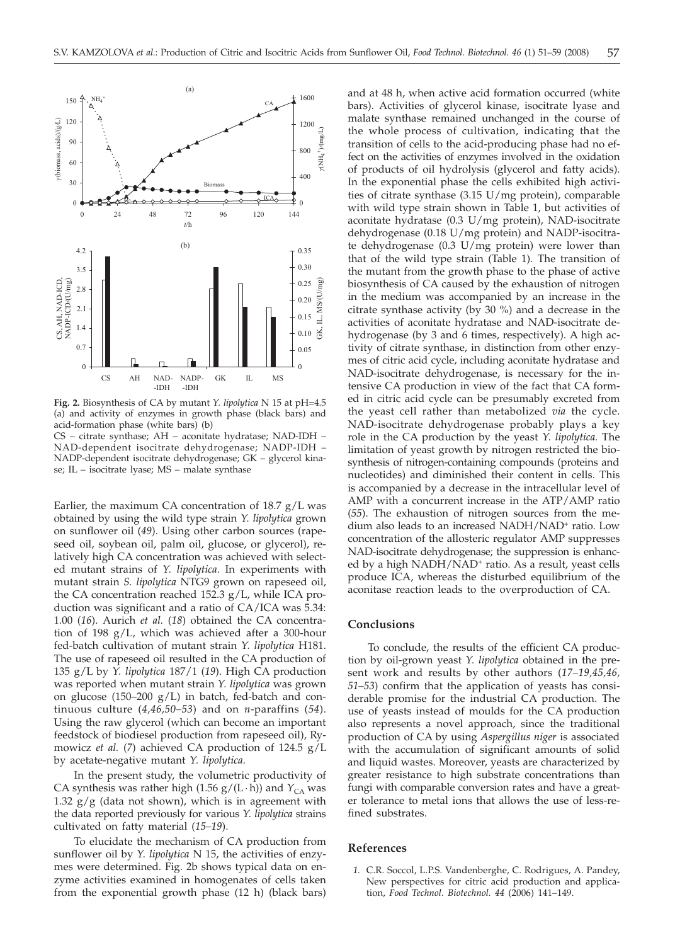

**Fig. 2.** Biosynthesis of CA by mutant *Y. lipolytica* N 15 at pH=4.5 (a) and activity of enzymes in growth phase (black bars) and acid-formation phase (white bars) (b) CS – citrate synthase; AH – aconitate hydratase; NAD-IDH – NAD-dependent isocitrate dehydrogenase; NADP-IDH – NADP-dependent isocitrate dehydrogenase; GK – glycerol kina-

se; IL – isocitrate lyase; MS – malate synthase

Earlier, the maximum CA concentration of  $18.7 \text{ g/L}$  was obtained by using the wild type strain *Y. lipolytica* grown on sunflower oil (*49*). Using other carbon sources (rapeseed oil, soybean oil, palm oil, glucose, or glycerol), relatively high CA concentration was achieved with selected mutant strains of *Y. lipolytica*. In experiments with mutant strain *S. lipolytica* NTG9 grown on rapeseed oil, the CA concentration reached 152.3 g/L, while ICA production was significant and a ratio of CA/ICA was 5.34: 1.00 (*16*). Aurich *et al.* (*18*) obtained the CA concentration of 198 g/L, which was achieved after a 300-hour fed-batch cultivation of mutant strain *Y. lipolytica* H181. The use of rapeseed oil resulted in the CA production of 135 g/L by *Y. lipolytica* 187/1 (*19*). High CA production was reported when mutant strain *Y. lipolytica* was grown on glucose (150–200 g/L) in batch, fed-batch and continuous culture (*4,46,50–53*) and on *n*-paraffins (*54*). Using the raw glycerol (which can become an important feedstock of biodiesel production from rapeseed oil), Rymowicz *et al.* (*7*) achieved CA production of 124.5 g/L by acetate-negative mutant *Y. lipolytica*.

In the present study, the volumetric productivity of CA synthesis was rather high  $(1.56 \text{ g}/(\text{L} \cdot \text{h}))$  and  $Y_{CA}$  was 1.32  $g/g$  (data not shown), which is in agreement with the data reported previously for various *Y. lipolytica* strains cultivated on fatty material (*15–19*).

To elucidate the mechanism of CA production from sunflower oil by *Y. lipolytica* N 15, the activities of enzymes were determined. Fig. 2b shows typical data on enzyme activities examined in homogenates of cells taken from the exponential growth phase (12 h) (black bars)

and at 48 h, when active acid formation occurred (white bars). Activities of glycerol kinase, isocitrate lyase and malate synthase remained unchanged in the course of the whole process of cultivation, indicating that the transition of cells to the acid-producing phase had no effect on the activities of enzymes involved in the oxidation of products of oil hydrolysis (glycerol and fatty acids). In the exponential phase the cells exhibited high activities of citrate synthase (3.15 U/mg protein), comparable with wild type strain shown in Table 1, but activities of aconitate hydratase (0.3 U/mg protein), NAD-isocitrate dehydrogenase (0.18 U/mg protein) and NADP-isocitrate dehydrogenase (0.3 U/mg protein) were lower than that of the wild type strain (Table 1). The transition of the mutant from the growth phase to the phase of active biosynthesis of CA caused by the exhaustion of nitrogen in the medium was accompanied by an increase in the citrate synthase activity (by 30 %) and a decrease in the activities of aconitate hydratase and NAD-isocitrate dehydrogenase (by 3 and 6 times, respectively). A high activity of citrate synthase, in distinction from other enzymes of citric acid cycle, including aconitate hydratase and NAD-isocitrate dehydrogenase, is necessary for the intensive CA production in view of the fact that CA formed in citric acid cycle can be presumably excreted from the yeast cell rather than metabolized *via* the cycle. NAD-isocitrate dehydrogenase probably plays a key role in the CA production by the yeast *Y. lipolytica.* The limitation of yeast growth by nitrogen restricted the biosynthesis of nitrogen-containing compounds (proteins and nucleotides) and diminished their content in cells. This is accompanied by a decrease in the intracellular level of AMP with a concurrent increase in the ATP/AMP ratio (*55*). The exhaustion of nitrogen sources from the medium also leads to an increased NADH/NAD<sup>+</sup> ratio. Low concentration of the allosteric regulator AMP suppresses NAD-isocitrate dehydrogenase; the suppression is enhanced by a high NADH/NAD<sup>+</sup> ratio. As a result, yeast cells produce ICA, whereas the disturbed equilibrium of the aconitase reaction leads to the overproduction of CA.

#### **Conclusions**

To conclude, the results of the efficient CA production by oil-grown yeast *Y. lipolytica* obtained in the present work and results by other authors (*17–19,45,46, 51–53*) confirm that the application of yeasts has considerable promise for the industrial CA production. The use of yeasts instead of moulds for the CA production also represents a novel approach, since the traditional production of CA by using *Aspergillus niger* is associated with the accumulation of significant amounts of solid and liquid wastes. Moreover, yeasts are characterized by greater resistance to high substrate concentrations than fungi with comparable conversion rates and have a greater tolerance to metal ions that allows the use of less-refined substrates.

#### **References**

*1.* C.R. Soccol, L.P.S. Vandenberghe, C. Rodrigues, A. Pandey, New perspectives for citric acid production and application, *Food Technol. Biotechnol. 44* (2006) 141–149.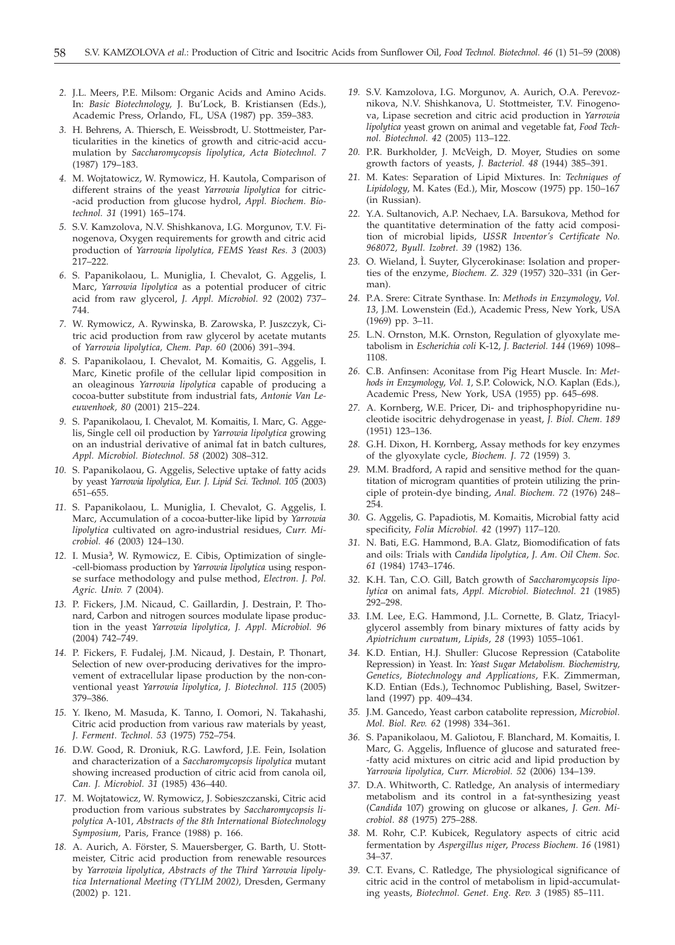- *2.* J.L. Meers, P.E. Milsom: Organic Acids and Amino Acids. In: *Basic Biotechnology,* J. Bu'Lock, B. Kristiansen (Eds.), Academic Press, Orlando, FL, USA (1987) pp. 359–383.
- *3.* H. Behrens, A. Thiersch, E. Weissbrodt, U. Stottmeister, Particularities in the kinetics of growth and citric-acid accumulation by *Saccharomycopsis lipolytica*, *Acta Biotechnol. 7* (1987) 179–183.
- *4.* M. Wojtatowicz, W. Rymowicz, H. Kautola, Comparison of different strains of the yeast *Yarrowia lipolytica* for citric- -acid production from glucose hydrol, *Appl. Biochem. Biotechnol. 31* (1991) 165–174.
- *5.* S.V. Kamzolova, N.V. Shishkanova, I.G. Morgunov, T.V. Finogenova, Oxygen requirements for growth and citric acid production of *Yarrowia lipolytica, FEMS Yeast Res. 3* (2003) 217–222.
- *6.* S. Papanikolaou, L. Muniglia, I. Chevalot, G. Aggelis, I. Marc, *Yarrowia lipolytica* as a potential producer of citric acid from raw glycerol, *J. Appl. Microbiol. 92* (2002) 737– 744.
- *7.* W. Rymowicz, A. Rywinska, B. Zarowska, P. Juszczyk, Citric acid production from raw glycerol by acetate mutants of *Yarrowia lipolytica, Chem. Pap. 60* (2006) 391–394.
- *8.* S. Papanikolaou, I. Chevalot, M. Komaitis, G. Aggelis, I. Marc, Kinetic profile of the cellular lipid composition in an oleaginous *Yarrowia lipolytica* capable of producing a cocoa-butter substitute from industrial fats, *Antonie Van Leeuwenhoek, 80* (2001) 215–224.
- *9.* S. Papanikolaou, I. Chevalot, M. Komaitis, I. Marc, G. Aggelis, Single cell oil production by *Yarrowia lipolytica* growing on an industrial derivative of animal fat in batch cultures, *Appl. Microbiol. Biotechnol. 58* (2002) 308–312.
- *10.* S. Papanikolaou, G. Aggelis, Selective uptake of fatty acids by yeast *Yarrowia lipolytica, Eur. J. Lipid Sci. Technol. 105* (2003) 651–655.
- *11.* S. Papanikolaou, L. Muniglia, I. Chevalot, G. Aggelis, I. Marc, Accumulation of a cocoa-butter-like lipid by *Yarrowia lipolytica* cultivated on agro-industrial residues, *Curr. Microbiol. 46* (2003) 124–130.
- *12.* I. Musia³, W. Rymowicz, E. Cibis, Optimization of single- -cell-biomass production by *Yarrowia lipolytica* using response surface methodology and pulse method, *Electron. J. Pol. Agric. Univ. 7* (2004).
- *13.* P. Fickers, J.M. Nicaud, C. Gaillardin, J. Destrain, P. Thonard, Carbon and nitrogen sources modulate lipase production in the yeast *Yarrowia lipolytica, J. Appl. Microbiol. 96* (2004) 742–749.
- *14.* P. Fickers, F. Fudalej, J.M. Nicaud, J. Destain, P. Thonart, Selection of new over-producing derivatives for the improvement of extracellular lipase production by the non-conventional yeast *Yarrowia lipolytica*, *J. Biotechnol. 115* (2005) 379–386.
- *15.* Y. Ikeno, M. Masuda, K. Tanno, I. Oomori, N. Takahashi, Citric acid production from various raw materials by yeast, *J. Ferment. Technol. 53* (1975) 752–754.
- *16.* D.W. Good, R. Droniuk, R.G. Lawford, J.E. Fein, Isolation and characterization of a *Saccharomycopsis lipolytica* mutant showing increased production of citric acid from canola oil, *Can. J. Microbiol. 31* (1985) 436–440.
- *17.* M. Wojtatowicz, W. Rymowicz, J. Sobieszczanski, Citric acid production from various substrates by *Saccharomycopsis lipolytica* A-101, *Abstracts of the 8th International Biotechnology Symposium,* Paris, France (1988) p. 166.
- *18.* A. Aurich, A. Förster, S. Mauersberger, G. Barth, U. Stottmeister, Citric acid production from renewable resources by *Yarrowia lipolytica, Abstracts of the Third Yarrowia lipolytica International Meeting (TYLIM 2002),* Dresden, Germany (2002) p. 121.
- *19.* S.V. Kamzolova, I.G. Morgunov, A. Aurich, O.A. Perevoznikova, N.V. Shishkanova, U. Stottmeister, T.V. Finogenova, Lipase secretion and citric acid production in *Yarrowia lipolytica* yeast grown on animal and vegetable fat, *Food Technol. Biotechnol. 42* (2005) 113–122.
- *20.* P.R. Burkholder, J. McVeigh, D. Moyer, Studies on some growth factors of yeasts, *J. Bacteriol. 48* (1944) 385–391.
- *21.* M. Kates: Separation of Lipid Mixtures. In: *Techniques of Lipidology*, M. Kates (Ed.), Mir, Moscow (1975) pp. 150–167 (in Russian).
- *22.* Y.A. Sultanovich, A.P. Nechaev, I.A. Barsukova, Method for the quantitative determination of the fatty acid composition of microbial lipids, *USSR Inventor's Certificate No. 968072, Byull. Izobret. 39* (1982) 136.
- *23.* O. Wieland, Ì. Suyter, Glycerokinase: Isolation and properties of the enzyme, *Biochem. Z. 329* (1957) 320–331 (in German).
- *24.* P.A. Srere: Citrate Synthase. In: *Methods in Enzymology*, *Vol. 13,* J.M. Lowenstein (Ed.), Academic Press, New York, USA (1969) pp. 3–11.
- *25.* L.N. Ornston, M.K. Ornston, Regulation of glyoxylate metabolism in *Escherichia coli* K-12, *J. Bacteriol. 144* (1969) 1098– 1108.
- *26.* C.B. Anfinsen: Aconitase from Pig Heart Muscle. In: *Methods in Enzymology*, *Vol. 1,* S.P. Colowick, N.O. Kaplan (Eds.), Academic Press, New York, USA (1955) pp. 645–698.
- *27.* A. Kornberg, W.E. Pricer, Di- and triphosphopyridine nucleotide isocitric dehydrogenase in yeast, *J. Biol. Chem. 189* (1951) 123–136.
- *28.* G.H. Dixon, H. Kornberg, Assay methods for key enzymes of the glyoxylate cycle, *Biochem. J. 72* (1959) 3.
- *29.* M.M. Bradford, A rapid and sensitive method for the quantitation of microgram quantities of protein utilizing the principle of protein-dye binding, *Anal. Biochem. 72* (1976) 248– 254.
- *30.* G. Aggelis, G. Papadiotis, M. Komaitis, Microbial fatty acid specificity, *Folia Microbiol. 42* (1997) 117–120.
- *31.* N. Bati, E.G. Hammond, B.A. Glatz, Biomodification of fats and oils: Trials with *Candida lipolytica*, *J. Am. Oil Chem. Soc. 61* (1984) 1743–1746.
- *32.* K.H. Tan, C.O. Gill, Batch growth of *Saccharomycopsis lipolytica* on animal fats, *Appl. Microbiol. Biotechnol. 21* (1985) 292–298.
- *33.* I.M. Lee, E.G. Hammond, J.L. Cornette, B. Glatz, Triacylglycerol assembly from binary mixtures of fatty acids by *Apiotrichum curvatum*, *Lipids*, *28* (1993) 1055–1061.
- *34.* K.D. Entian, H.J. Shuller: Glucose Repression (Catabolite Repression) in Yeast. In: *Yeast Sugar Metabolism. Biochemistry, Genetics, Biotechnology and Applications*, F.K. Zimmerman, K.D. Entian (Eds.), Technomoc Publishing, Basel, Switzerland (1997) pp. 409–434.
- *35.* J.M. Gancedo, Yeast carbon catabolite repression, *Microbiol. Mol. Biol. Rev. 62* (1998) 334–361.
- *36.* S. Papanikolaou, M. Galiotou, F. Blanchard, M. Komaitis, I. Marc, G. Aggelis, Influence of glucose and saturated free- -fatty acid mixtures on citric acid and lipid production by *Yarrowia lipolytica, Curr. Microbiol. 52* (2006) 134–139.
- *37.* D.A. Whitworth, C. Ratledge, An analysis of intermediary metabolism and its control in a fat-synthesizing yeast (*Candida* 107) growing on glucose or alkanes, *J. Gen. Microbiol. 88* (1975) 275–288.
- *38.* M. Rohr, C.P. Kubicek, Regulatory aspects of citric acid fermentation by *Aspergillus niger*, *Process Biochem. 16* (1981) 34–37.
- *39.* C.T. Evans, C. Ratledge, The physiological significance of citric acid in the control of metabolism in lipid-accumulating yeasts, *Biotechnol. Genet. Eng. Rev. 3* (1985) 85–111.